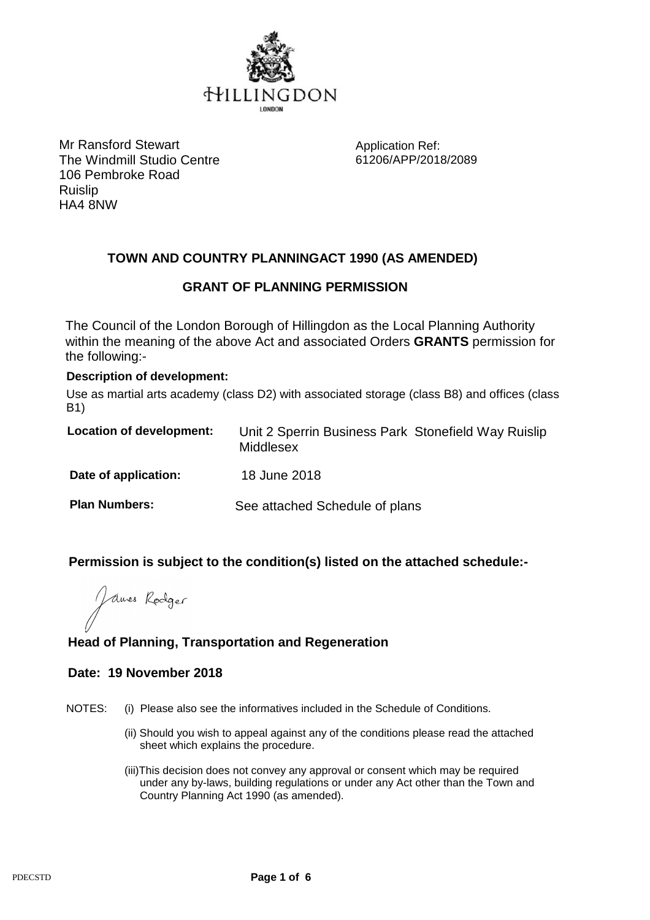

Mr Ransford Stewart The Windmill Studio Centre 106 Pembroke Road Ruislip HA4 8NW

Application Ref: 61206/APP/2018/2089

# **TOWN AND COUNTRY PLANNINGACT 1990 (AS AMENDED)**

# **GRANT OF PLANNING PERMISSION**

The Council of the London Borough of Hillingdon as the Local Planning Authority within the meaning of the above Act and associated Orders **GRANTS** permission for the following:-

## **Description of development:**

Use as martial arts academy (class D2) with associated storage (class B8) and offices (class B1)

| Location of development: | Unit 2 Sperrin Business Park Stonefield Way Ruislip<br>Middlesex |
|--------------------------|------------------------------------------------------------------|
| Date of application:     | 18 June 2018                                                     |
| <b>Plan Numbers:</b>     | See attached Schedule of plans                                   |

# **Permission is subject to the condition(s) listed on the attached schedule:-**

James Rodger

# **Head of Planning, Transportation and Regeneration**

#### **Date: 19 November 2018**

- NOTES: (i) Please also see the informatives included in the Schedule of Conditions.
	- (ii) Should you wish to appeal against any of the conditions please read the attached sheet which explains the procedure.
	- (iii)This decision does not convey any approval or consent which may be required under any by-laws, building regulations or under any Act other than the Town and Country Planning Act 1990 (as amended).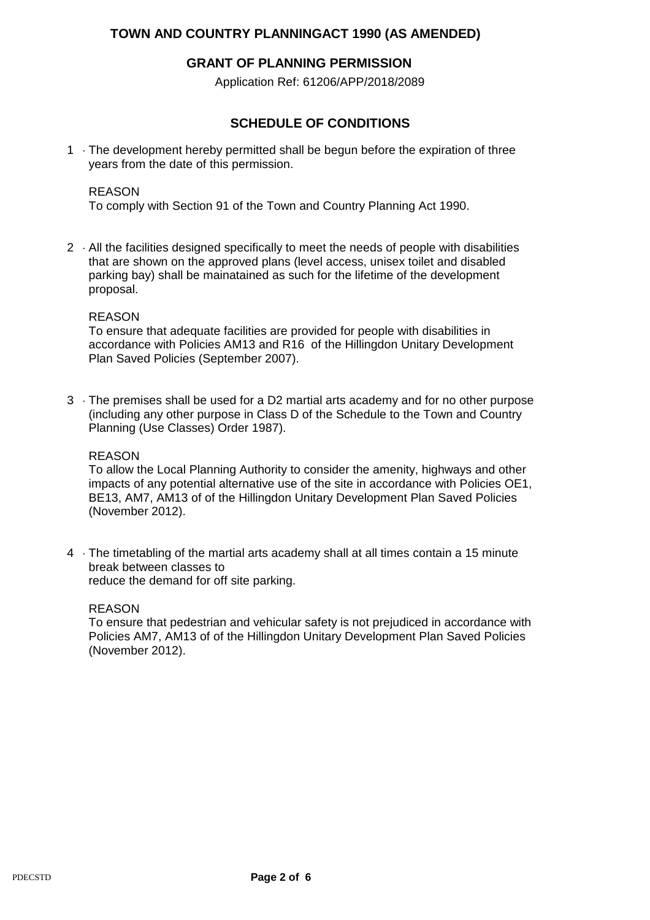## **TOWN AND COUNTRY PLANNINGACT 1990 (AS AMENDED)**

### **GRANT OF PLANNING PERMISSION**

Application Ref: 61206/APP/2018/2089

## **SCHEDULE OF CONDITIONS**

1 The development hereby permitted shall be begun before the expiration of three years from the date of this permission.

#### REASON

To comply with Section 91 of the Town and Country Planning Act 1990.

2  $\cdot$  All the facilities designed specifically to meet the needs of people with disabilities that are shown on the approved plans (level access, unisex toilet and disabled parking bay) shall be mainatained as such for the lifetime of the development proposal.

#### REASON

To ensure that adequate facilities are provided for people with disabilities in accordance with Policies AM13 and R16 of the Hillingdon Unitary Development Plan Saved Policies (September 2007).

3 The premises shall be used for a D2 martial arts academy and for no other purpose (including any other purpose in Class D of the Schedule to the Town and Country Planning (Use Classes) Order 1987).

#### REASON

To allow the Local Planning Authority to consider the amenity, highways and other impacts of any potential alternative use of the site in accordance with Policies OE1, BE13, AM7, AM13 of of the Hillingdon Unitary Development Plan Saved Policies (November 2012).

4 The timetabling of the martial arts academy shall at all times contain a 15 minute break between classes to reduce the demand for off site parking.

#### REASON

To ensure that pedestrian and vehicular safety is not prejudiced in accordance with Policies AM7, AM13 of of the Hillingdon Unitary Development Plan Saved Policies (November 2012).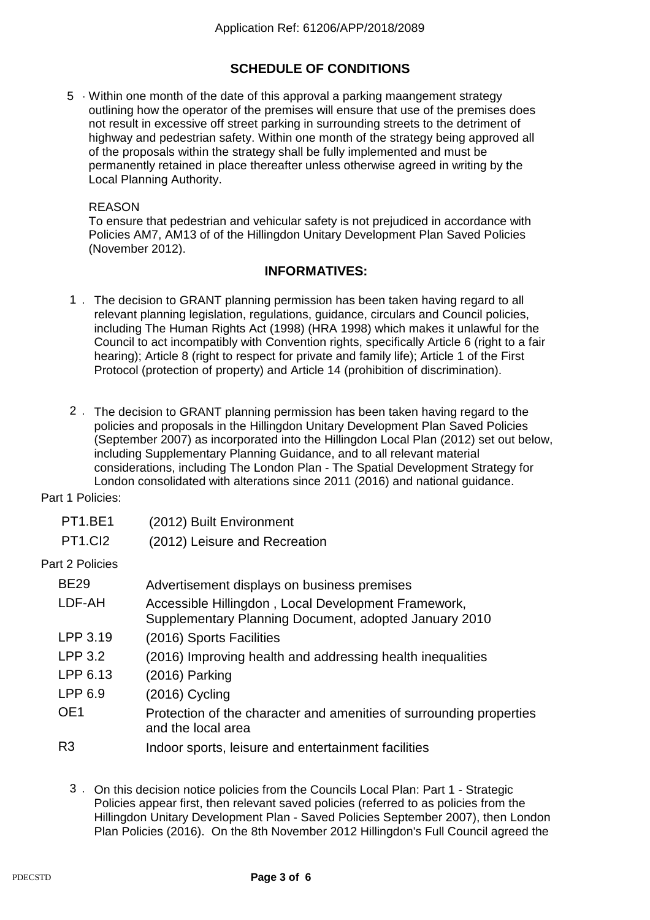# **SCHEDULE OF CONDITIONS**

5 Within one month of the date of this approval a parking maangement strategy outlining how the operator of the premises will ensure that use of the premises does not result in excessive off street parking in surrounding streets to the detriment of highway and pedestrian safety. Within one month of the strategy being approved all of the proposals within the strategy shall be fully implemented and must be permanently retained in place thereafter unless otherwise agreed in writing by the Local Planning Authority.

#### REASON

To ensure that pedestrian and vehicular safety is not prejudiced in accordance with Policies AM7, AM13 of of the Hillingdon Unitary Development Plan Saved Policies (November 2012).

## **INFORMATIVES:**

- 1. The decision to GRANT planning permission has been taken having regard to all relevant planning legislation, regulations, guidance, circulars and Council policies, including The Human Rights Act (1998) (HRA 1998) which makes it unlawful for the Council to act incompatibly with Convention rights, specifically Article 6 (right to a fair hearing); Article 8 (right to respect for private and family life); Article 1 of the First Protocol (protection of property) and Article 14 (prohibition of discrimination).
- 2. The decision to GRANT planning permission has been taken having regard to the policies and proposals in the Hillingdon Unitary Development Plan Saved Policies (September 2007) as incorporated into the Hillingdon Local Plan (2012) set out below, including Supplementary Planning Guidance, and to all relevant material considerations, including The London Plan - The Spatial Development Strategy for London consolidated with alterations since 2011 (2016) and national guidance.

Part 1 Policies:

PT1.CI2 (2012) Leisure and Recreation

#### Part 2 Policies

| <b>BE29</b>     | Advertisement displays on business premises                                                                  |
|-----------------|--------------------------------------------------------------------------------------------------------------|
| LDF-AH          | Accessible Hillingdon, Local Development Framework,<br>Supplementary Planning Document, adopted January 2010 |
| LPP 3.19        | (2016) Sports Facilities                                                                                     |
| LPP 3.2         | (2016) Improving health and addressing health inequalities                                                   |
| LPP 6.13        | (2016) Parking                                                                                               |
| LPP 6.9         | $(2016)$ Cycling                                                                                             |
| OE <sub>1</sub> | Protection of the character and amenities of surrounding properties<br>and the local area                    |
| R <sub>3</sub>  | Indoor sports, leisure and entertainment facilities                                                          |

3. On this decision notice policies from the Councils Local Plan: Part 1 - Strategic Policies appear first, then relevant saved policies (referred to as policies from the Hillingdon Unitary Development Plan - Saved Policies September 2007), then London Plan Policies (2016). On the 8th November 2012 Hillingdon's Full Council agreed the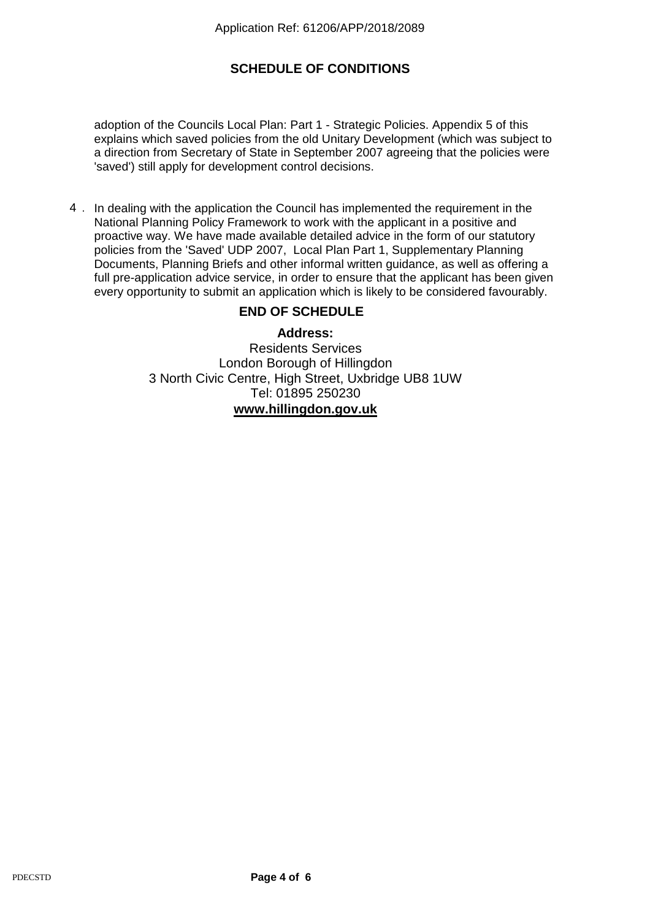# **SCHEDULE OF CONDITIONS**

adoption of the Councils Local Plan: Part 1 - Strategic Policies. Appendix 5 of this explains which saved policies from the old Unitary Development (which was subject to a direction from Secretary of State in September 2007 agreeing that the policies were 'saved') still apply for development control decisions.

4. In dealing with the application the Council has implemented the requirement in the National Planning Policy Framework to work with the applicant in a positive and proactive way. We have made available detailed advice in the form of our statutory policies from the 'Saved' UDP 2007, Local Plan Part 1, Supplementary Planning Documents, Planning Briefs and other informal written guidance, as well as offering a full pre-application advice service, in order to ensure that the applicant has been given every opportunity to submit an application which is likely to be considered favourably.

## **END OF SCHEDULE**

**Address:** Residents Services London Borough of Hillingdon 3 North Civic Centre, High Street, Uxbridge UB8 1UW Tel: 01895 250230 **www.hillingdon.gov.uk**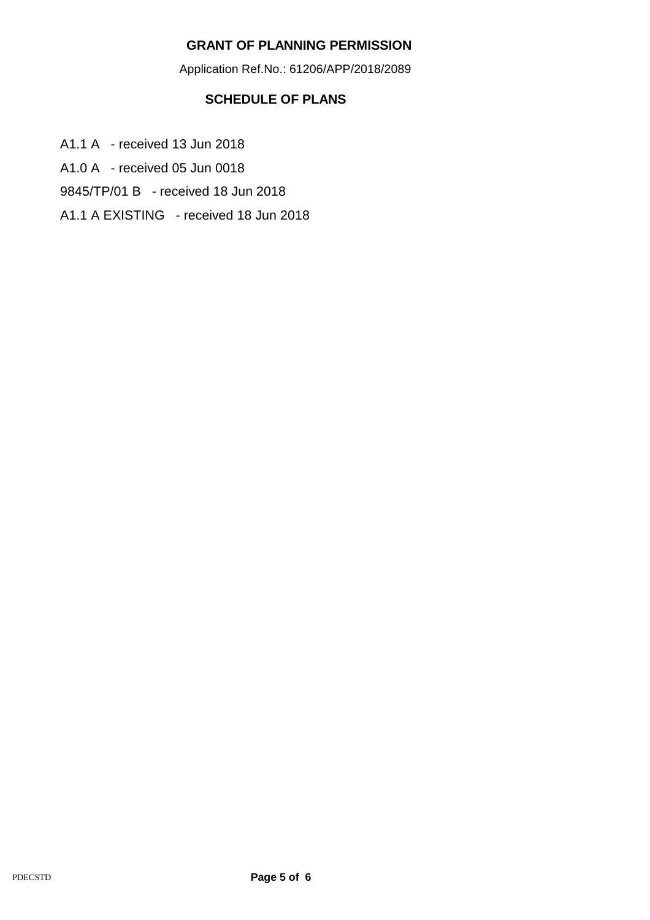# **GRANT OF PLANNING PERMISSION**

Application Ref.No.: 61206/APP/2018/2089

# **SCHEDULE OF PLANS**

- A1.1 A received 13 Jun 2018
- A1.0 A received 05 Jun 0018
- 9845/TP/01 B received 18 Jun 2018
- A1.1 A EXISTING received 18 Jun 2018